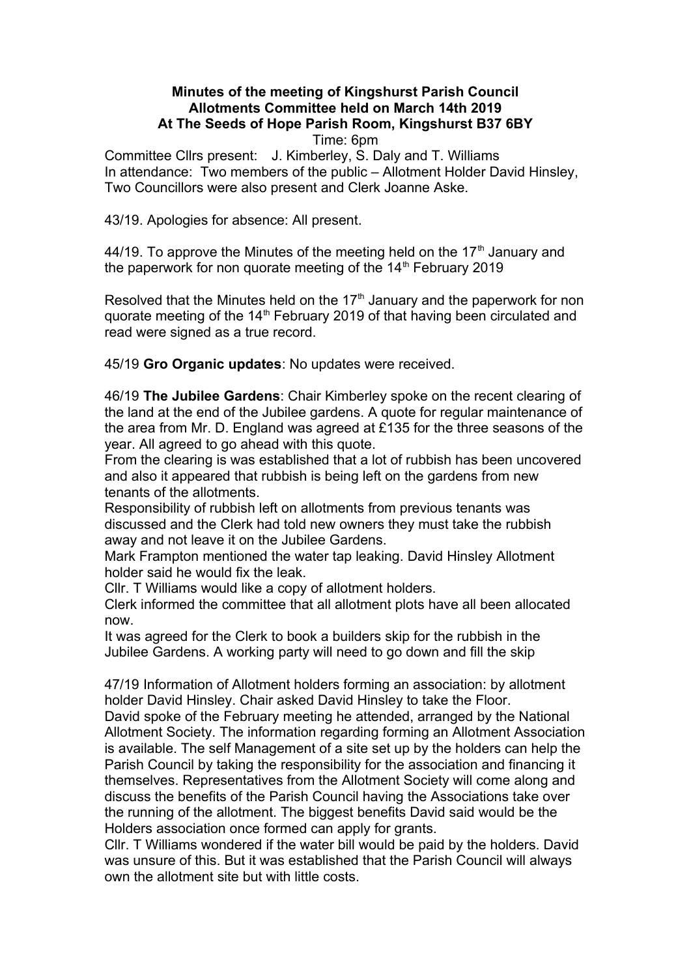## **Minutes of the meeting of Kingshurst Parish Council Allotments Committee held on March 14th 2019 At The Seeds of Hope Parish Room, Kingshurst B37 6BY**  Time: 6pm

Committee Cllrs present: J. Kimberley, S. Daly and T. Williams In attendance: Two members of the public – Allotment Holder David Hinsley, Two Councillors were also present and Clerk Joanne Aske.

43/19. Apologies for absence: All present.

44/19. To approve the Minutes of the meeting held on the  $17<sup>th</sup>$  January and the paperwork for non quorate meeting of the  $14<sup>th</sup>$  February 2019

Resolved that the Minutes held on the 17<sup>th</sup> January and the paperwork for non quorate meeting of the 14<sup>th</sup> February 2019 of that having been circulated and read were signed as a true record.

45/19 **Gro Organic updates**: No updates were received.

46/19 **The Jubilee Gardens**: Chair Kimberley spoke on the recent clearing of the land at the end of the Jubilee gardens. A quote for regular maintenance of the area from Mr. D. England was agreed at £135 for the three seasons of the year. All agreed to go ahead with this quote.

From the clearing is was established that a lot of rubbish has been uncovered and also it appeared that rubbish is being left on the gardens from new tenants of the allotments.

Responsibility of rubbish left on allotments from previous tenants was discussed and the Clerk had told new owners they must take the rubbish away and not leave it on the Jubilee Gardens.

Mark Frampton mentioned the water tap leaking. David Hinsley Allotment holder said he would fix the leak.

Cllr. T Williams would like a copy of allotment holders.

Clerk informed the committee that all allotment plots have all been allocated now.

It was agreed for the Clerk to book a builders skip for the rubbish in the Jubilee Gardens. A working party will need to go down and fill the skip

47/19 Information of Allotment holders forming an association: by allotment holder David Hinsley. Chair asked David Hinsley to take the Floor. David spoke of the February meeting he attended, arranged by the National Allotment Society. The information regarding forming an Allotment Association is available. The self Management of a site set up by the holders can help the Parish Council by taking the responsibility for the association and financing it themselves. Representatives from the Allotment Society will come along and discuss the benefits of the Parish Council having the Associations take over the running of the allotment. The biggest benefits David said would be the Holders association once formed can apply for grants.

Cllr. T Williams wondered if the water bill would be paid by the holders. David was unsure of this. But it was established that the Parish Council will always own the allotment site but with little costs.